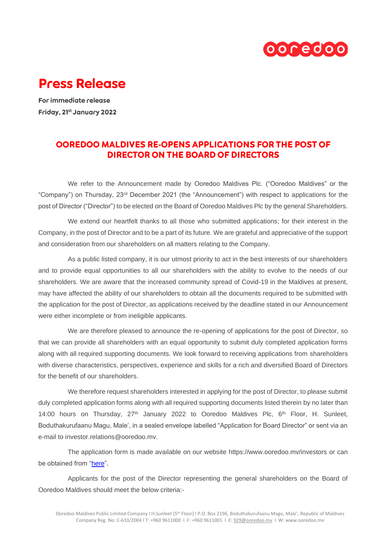

## **Press Release**

For immediate release Friday, 21st January 2022

## OOREDOO MALDIVES RE-OPENS APPLICATIONS FOR THE POST OF **DIRECTOR ON THE BOARD OF DIRECTORS**

We refer to the Announcement made by Ooredoo Maldives Plc. ("Ooredoo Maldives" or the "Company") on Thursday, 23rd December 2021 (the "Announcement") with respect to applications for the post of Director ("Director") to be elected on the Board of Ooredoo Maldives Plc by the general Shareholders.

We extend our heartfelt thanks to all those who submitted applications; for their interest in the Company, in the post of Director and to be a part of its future. We are grateful and appreciative of the support and consideration from our shareholders on all matters relating to the Company.

As a public listed company, it is our utmost priority to act in the best interests of our shareholders and to provide equal opportunities to all our shareholders with the ability to evolve to the needs of our shareholders. We are aware that the increased community spread of Covid-19 in the Maldives at present, may have affected the ability of our shareholders to obtain all the documents required to be submitted with the application for the post of Director, as applications received by the deadline stated in our Announcement were either incomplete or from ineligible applicants.

We are therefore pleased to announce the re-opening of applications for the post of Director, so that we can provide all shareholders with an equal opportunity to submit duly completed application forms along with all required supporting documents. We look forward to receiving applications from shareholders with diverse characteristics, perspectives, experience and skills for a rich and diversified Board of Directors for the benefit of our shareholders.

We therefore request shareholders interested in applying for the post of Director, to please submit duly completed application forms along with all required supporting documents listed therein by no later than 14:00 hours on Thursday,  $27<sup>th</sup>$  January 2022 to Ooredoo Maldives Plc,  $6<sup>th</sup>$  Floor, H. Sunleet, Boduthakurufaanu Magu, Male', in a sealed envelope labelled "Application for Board Director" or sent via an e-mail to investor relations@ooredoo.mv

The application form is made available on our website https://www.ooredoo.mv/investors or can be obtained from ["here"](https://cdn.ooredoo.mv/files/investors/2022-public-director-application-form.pdf).

Applicants for the post of the Director representing the general shareholders on the Board of Ooredoo Maldives should meet the below criteria:-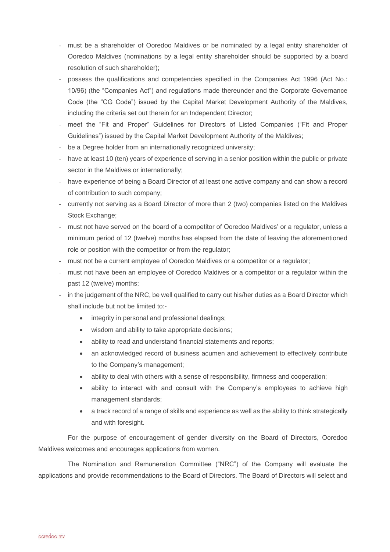- must be a shareholder of Ooredoo Maldives or be nominated by a legal entity shareholder of Ooredoo Maldives (nominations by a legal entity shareholder should be supported by a board resolution of such shareholder);
- possess the qualifications and competencies specified in the Companies Act 1996 (Act No.: 10/96) (the "Companies Act") and regulations made thereunder and the Corporate Governance Code (the "CG Code") issued by the Capital Market Development Authority of the Maldives, including the criteria set out therein for an Independent Director;
- meet the "Fit and Proper" Guidelines for Directors of Listed Companies ("Fit and Proper Guidelines") issued by the Capital Market Development Authority of the Maldives;
- be a Degree holder from an internationally recognized university;
- have at least 10 (ten) years of experience of serving in a senior position within the public or private sector in the Maldives or internationally;
- have experience of being a Board Director of at least one active company and can show a record of contribution to such company;
- currently not serving as a Board Director of more than 2 (two) companies listed on the Maldives Stock Exchange;
- must not have served on the board of a competitor of Ooredoo Maldives' or a regulator, unless a minimum period of 12 (twelve) months has elapsed from the date of leaving the aforementioned role or position with the competitor or from the regulator;
- must not be a current employee of Ooredoo Maldives or a competitor or a regulator;
- must not have been an employee of Ooredoo Maldives or a competitor or a regulator within the past 12 (twelve) months;
- in the judgement of the NRC, be well qualified to carry out his/her duties as a Board Director which shall include but not be limited to:-
	- integrity in personal and professional dealings;
	- wisdom and ability to take appropriate decisions;
	- ability to read and understand financial statements and reports;
	- an acknowledged record of business acumen and achievement to effectively contribute to the Company's management;
	- ability to deal with others with a sense of responsibility, firmness and cooperation;
	- ability to interact with and consult with the Company's employees to achieve high management standards;
	- a track record of a range of skills and experience as well as the ability to think strategically and with foresight.

For the purpose of encouragement of gender diversity on the Board of Directors, Ooredoo Maldives welcomes and encourages applications from women.

The Nomination and Remuneration Committee ("NRC") of the Company will evaluate the applications and provide recommendations to the Board of Directors. The Board of Directors will select and